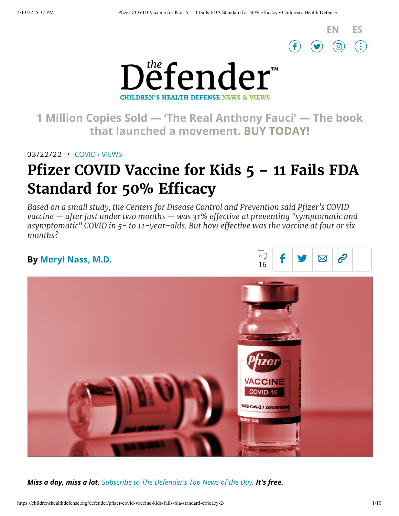

 $\hat{e}$ 

 $\boxtimes$ 



**1 [Million Copies](https://www.amazon.com/Real-Anthony-Fauci-Democracy-Childrens/dp/1510766804) Sold — 'The Real Anthony Fauci' — The book that launched a movement. BUY TODAY!**

03/22/22 • [COVID](https://childrenshealthdefense.org/defender_category/covid) › [VIEWS](https://childrenshealthdefense.org/defender-views)

# **Pfizer COVID Vaccine for Kids 5 – 11 Fails FDA Standard for 50% Efficacy**

*Based on a small study, the Centers for Disease Control and Prevention said Pfizer's COVID vaccine — after just under two months — was 31% effective at preventing "symptomatic and asymptomatic" COVID in 5- to 11-year-olds. But how effective was the vaccine at four or six months?*

### **By [Meryl Nass,](https://childrenshealthdefense.org/authors/meryl-nass-md/) M.D.**



*Miss a day, miss a lot. Subscribe to [The Defender's](https://childrenshealthdefense.org/about-us/sign-up/?utm_source=top_of_article&utm_medium=the_defender&utm_campaign=sign_ups) Top News of the Day. It's free.*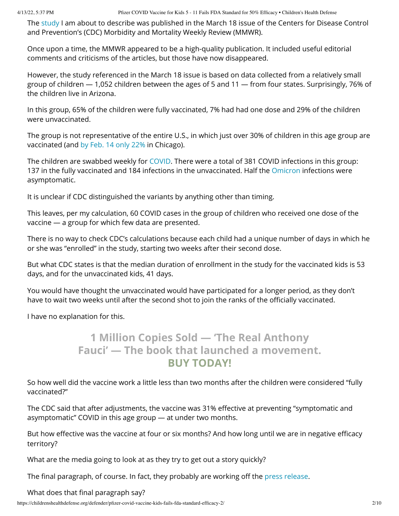The [study](https://www.cdc.gov/mmwr/volumes/71/wr/mm7111e1.htm?s_cid=mm7111e1_w) I am about to describe was published in the March 18 issue of the Centers for Disease Control and Prevention's (CDC) Morbidity and Mortality Weekly Review (MMWR).

Once upon a time, the MMWR appeared to be a high-quality publication. It included useful editorial comments and criticisms of the articles, but those have now disappeared.

However, the study referenced in the March 18 issue is based on data collected from a relatively small group of children — 1,052 children between the ages of 5 and 11 — from four states. Surprisingly, 76% of the children live in Arizona.

In this group, 65% of the children were fully vaccinated, 7% had had one dose and 29% of the children were unvaccinated.

The group is not representative of the entire U.S., in which just over 30% of children in this age group are vaccinated (and by [Feb. 14](https://chicago.chalkbeat.org/2022/2/14/22929871/chicago-public-schools-covid-vaccine-uptake-5-to-11-year-olds) only 22% in Chicago).

The children are swabbed weekly for [COVID.](https://childrenshealthdefense.org/defender_category/covid/) There were a total of 381 COVID infections in this group: 137 in the fully vaccinated and 184 infections in the unvaccinated. Half the [Omicron](https://childrenshealthdefense.org/defender/omicron-surges-fda-vaccine-strategy-question/) infections were asymptomatic.

It is unclear if CDC distinguished the variants by anything other than timing.

This leaves, per my calculation, 60 COVID cases in the group of children who received one dose of the vaccine — a group for which few data are presented.

There is no way to check CDC's calculations because each child had a unique number of days in which he or she was "enrolled" in the study, starting two weeks after their second dose.

But what CDC states is that the median duration of enrollment in the study for the vaccinated kids is 53 days, and for the unvaccinated kids, 41 days.

You would have thought the unvaccinated would have participated for a longer period, as they don't have to wait two weeks until after the second shot to join the ranks of the officially vaccinated.

I have no explanation for this.

## **1 Million Copies Sold — 'The [Real Anthony](https://www.amazon.com/Real-Anthony-Fauci-Democracy-Childrens/dp/1510766804) Fauci' — The book that launched a movement. BUY TODAY!**

So how well did the vaccine work a little less than two months after the children were considered "fully vaccinated?"

The CDC said that after adjustments, the vaccine was 31% effective at preventing "symptomatic and asymptomatic" COVID in this age group — at under two months.

But how effective was the vaccine at four or six months? And how long until we are in negative efficacy territory?

What are the media going to look at as they try to get out a story quickly?

The final paragraph, of course. In fact, they probably are working off the press [release](https://www.cdc.gov/mmwr/volumes/71/wr/mm7111e1.htm).

What does that final paragraph say?